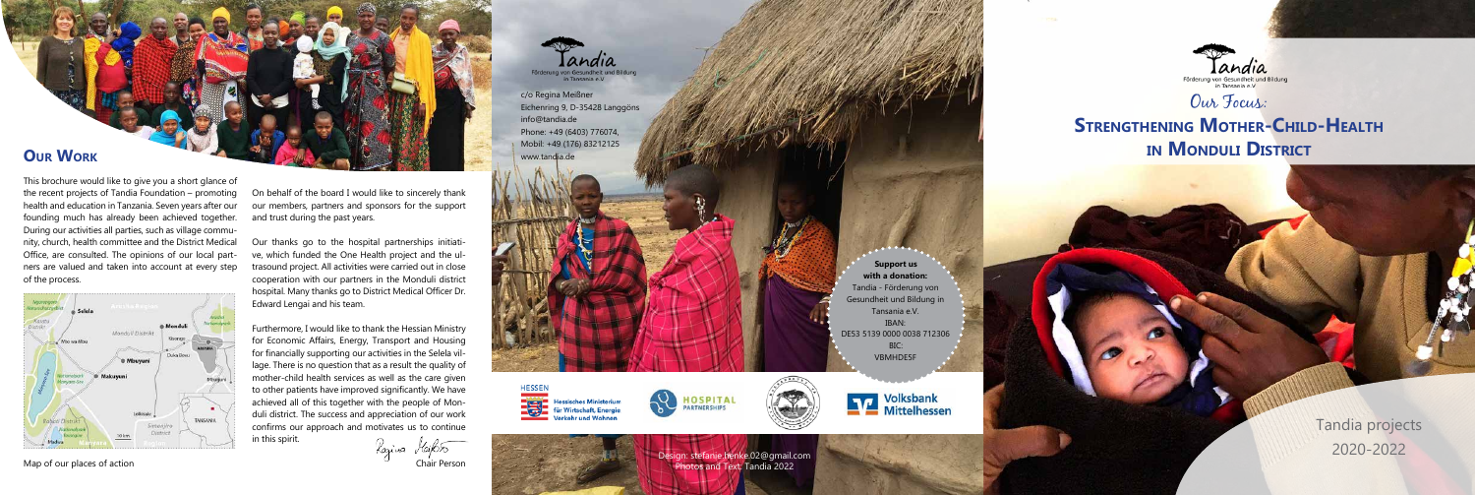

# **STRENGTHENING MOTHER-CHILD-HEALTH in Monduli District**

c/o Regina Meißner Eichenring 9, D-35428 Langgöns info@tandia.de Phone: +49 (6403) 776074, Mobil: +49 (176) 83212125 www.tandia.de





hes Ministerium **Wirtschaft, Energie** cehr und Wohnen

**Support us with a donation:** Tandia - Förderung von Gesundheit und Bildung in Tansania e.V. IBAN: DE53 5139 0000 0038 712306 BIC: VBMHDE5F



**NATIONAL Volksbank**<br>Mittelhessen

Map of our places of action

## **Our Work**

This brochure would like to give you a short glance of the recent projects of Tandia Foundation – promoting health and education in Tanzania. Seven years after our founding much has already been achieved together. During our activities all parties, such as village community, church, health committee and the District Medical Office, are consulted. The opinions of our local partners are valued and taken into account at every step of the process.



On behalf of the board I would like to sincerely thank our members, partners and sponsors for the support and trust during the past years.

Our thanks go to the hospital partnerships initiative, which funded the One Health project and the ultrasound project. All activities were carried out in close cooperation with our partners in the Monduli district hospital. Many thanks go to District Medical Officer Dr. Edward Lengai and his team.

Furthermore, I would like to thank the Hessian Ministry for Economic Affairs, Energy, Transport and Housing for financially supporting our activities in the Selela village. There is no question that as a result the quality of mother-child health services as well as the care given to other patients have improved significantly. We have achieved all of this together with the people of Monduli district. The success and appreciation of our work confirms our approach and motivates us to continue in this spirit.

Razina *Haif*oso

Chair Person



Tandia projects 2020-2022